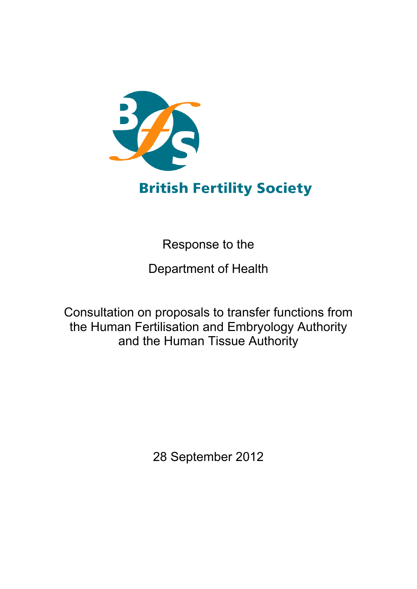

# **British Fertility Society**

Response to the

Department of Health

Consultation on proposals to transfer functions from the Human Fertilisation and Embryology Authority and the Human Tissue Authority

28 September 2012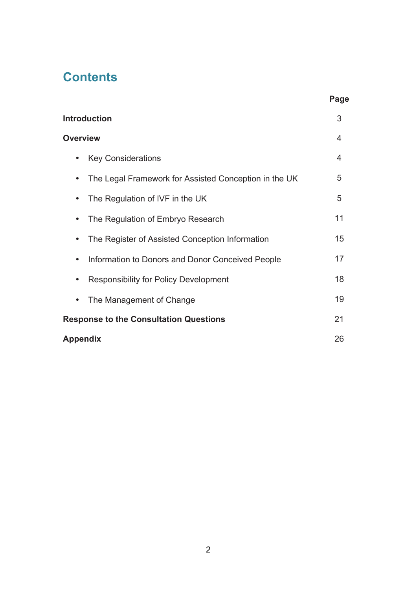## **Contents**

| <b>Introduction</b>                                   | 3  |  |
|-------------------------------------------------------|----|--|
| <b>Overview</b>                                       |    |  |
| <b>Key Considerations</b>                             | 4  |  |
| The Legal Framework for Assisted Conception in the UK | 5  |  |
| The Regulation of IVF in the UK                       | 5  |  |
| The Regulation of Embryo Research                     | 11 |  |
| The Register of Assisted Conception Information<br>٠  | 15 |  |
| Information to Donors and Donor Conceived People      | 17 |  |
| <b>Responsibility for Policy Development</b>          | 18 |  |
| The Management of Change                              | 19 |  |
| <b>Response to the Consultation Questions</b>         | 21 |  |
| Appendix                                              | 26 |  |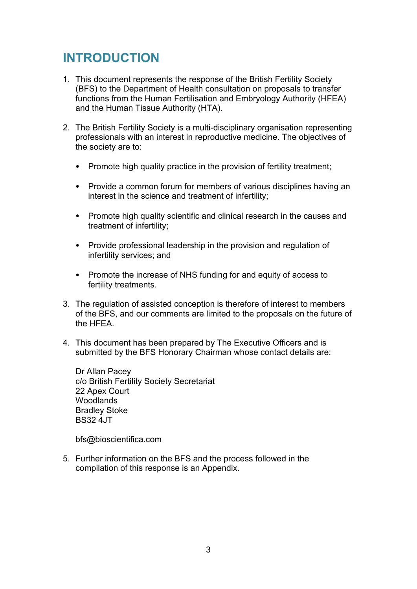## **INTRODUCTION**

- 1. This document represents the response of the British Fertility Society (BFS) to the Department of Health consultation on proposals to transfer functions from the Human Fertilisation and Embryology Authority (HFEA) and the Human Tissue Authority (HTA).
- 2. The British Fertility Society is a multi-disciplinary organisation representing professionals with an interest in reproductive medicine. The objectives of the society are to:
	- Promote high quality practice in the provision of fertility treatment;
	- Provide a common forum for members of various disciplines having an interest in the science and treatment of infertility;
	- Promote high quality scientific and clinical research in the causes and treatment of infertility;
	- Provide professional leadership in the provision and regulation of infertility services; and
	- Promote the increase of NHS funding for and equity of access to fertility treatments.
- 3. The regulation of assisted conception is therefore of interest to members of the BFS, and our comments are limited to the proposals on the future of the HFEA.
- 4. This document has been prepared by The Executive Officers and is submitted by the BFS Honorary Chairman whose contact details are:

Dr Allan Pacey c/o British Fertility Society Secretariat 22 Apex Court Woodlands Bradley Stoke BS32 4JT

bfs@bioscientifica.com

5. Further information on the BFS and the process followed in the compilation of this response is an Appendix.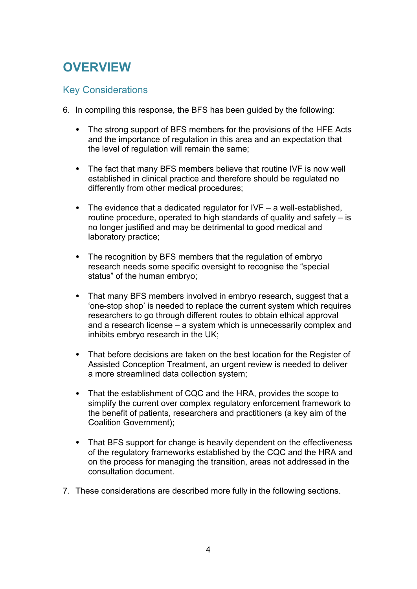## **OVERVIEW**

### Key Considerations

- 6. In compiling this response, the BFS has been guided by the following:
	- The strong support of BFS members for the provisions of the HFE Acts and the importance of regulation in this area and an expectation that the level of regulation will remain the same;
	- The fact that many BFS members believe that routine IVF is now well established in clinical practice and therefore should be regulated no differently from other medical procedures;
	- The evidence that a dedicated regulator for IVF a well-established, routine procedure, operated to high standards of quality and safety – is no longer justified and may be detrimental to good medical and laboratory practice;
	- The recognition by BFS members that the regulation of embryo research needs some specific oversight to recognise the "special status" of the human embryo;
	- That many BFS members involved in embryo research, suggest that a 'one-stop shop' is needed to replace the current system which requires researchers to go through different routes to obtain ethical approval and a research license – a system which is unnecessarily complex and inhibits embryo research in the UK;
	- That before decisions are taken on the best location for the Register of Assisted Conception Treatment, an urgent review is needed to deliver a more streamlined data collection system;
	- That the establishment of CQC and the HRA, provides the scope to simplify the current over complex regulatory enforcement framework to the benefit of patients, researchers and practitioners (a key aim of the Coalition Government);
	- That BFS support for change is heavily dependent on the effectiveness of the regulatory frameworks established by the CQC and the HRA and on the process for managing the transition, areas not addressed in the consultation document.
- 7. These considerations are described more fully in the following sections.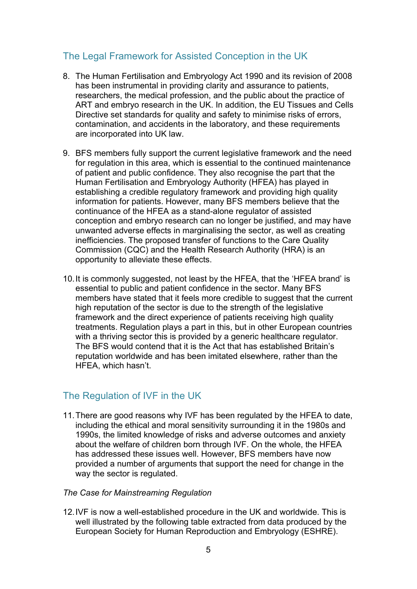## The Legal Framework for Assisted Conception in the UK

- 8. The Human Fertilisation and Embryology Act 1990 and its revision of 2008 has been instrumental in providing clarity and assurance to patients, researchers, the medical profession, and the public about the practice of ART and embryo research in the UK. In addition, the EU Tissues and Cells Directive set standards for quality and safety to minimise risks of errors, contamination, and accidents in the laboratory, and these requirements are incorporated into UK law.
- 9. BFS members fully support the current legislative framework and the need for regulation in this area, which is essential to the continued maintenance of patient and public confidence. They also recognise the part that the Human Fertilisation and Embryology Authority (HFEA) has played in establishing a credible regulatory framework and providing high quality information for patients. However, many BFS members believe that the continuance of the HFEA as a stand-alone regulator of assisted conception and embryo research can no longer be justified, and may have unwanted adverse effects in marginalising the sector, as well as creating inefficiencies. The proposed transfer of functions to the Care Quality Commission (CQC) and the Health Research Authority (HRA) is an opportunity to alleviate these effects.
- 10.It is commonly suggested, not least by the HFEA, that the 'HFEA brand' is essential to public and patient confidence in the sector. Many BFS members have stated that it feels more credible to suggest that the current high reputation of the sector is due to the strength of the legislative framework and the direct experience of patients receiving high quality treatments. Regulation plays a part in this, but in other European countries with a thriving sector this is provided by a generic healthcare regulator. The BFS would contend that it is the Act that has established Britain's reputation worldwide and has been imitated elsewhere, rather than the HFEA, which hasn't.

## The Regulation of IVF in the UK

- 11.There are good reasons why IVF has been regulated by the HFEA to date, including the ethical and moral sensitivity surrounding it in the 1980s and 1990s, the limited knowledge of risks and adverse outcomes and anxiety about the welfare of children born through IVF. On the whole, the HFEA has addressed these issues well. However, BFS members have now provided a number of arguments that support the need for change in the way the sector is regulated.
- *The Case for Mainstreaming Regulation*
- 12.IVF is now a well-established procedure in the UK and worldwide. This is well illustrated by the following table extracted from data produced by the European Society for Human Reproduction and Embryology (ESHRE).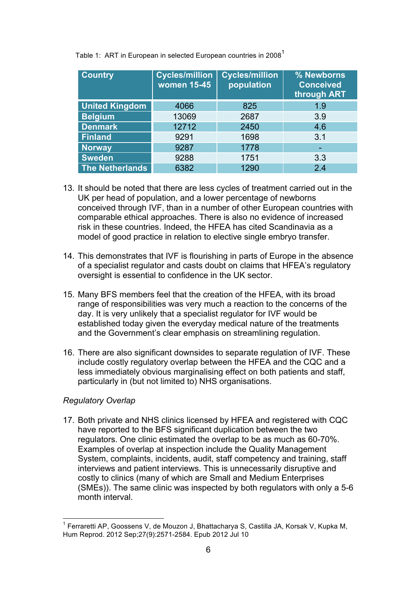| <b>Country</b>         | <b>Cycles/million</b><br><b>women 15-45</b> | <b>Cycles/million</b><br>population | % Newborns<br><b>Conceived</b><br>through ART |
|------------------------|---------------------------------------------|-------------------------------------|-----------------------------------------------|
| <b>United Kingdom</b>  | 4066                                        | 825                                 | 1.9                                           |
| <b>Belgium</b>         | 13069                                       | 2687                                | 3.9                                           |
| <b>Denmark</b>         | 12712                                       | 2450                                | 4.6                                           |
| <b>Finland</b>         | 9291                                        | 1698                                | 3.1                                           |
| <b>Norway</b>          | 9287                                        | 1778                                |                                               |
| <b>Sweden</b>          | 9288                                        | 1751                                | 3.3                                           |
| <b>The Netherlands</b> | 6382                                        | 1290                                | 2.4                                           |

Table 1: ART in European in selected European countries in 2008<sup>1</sup>

- 13. It should be noted that there are less cycles of treatment carried out in the UK per head of population, and a lower percentage of newborns conceived through IVF, than in a number of other European countries with comparable ethical approaches. There is also no evidence of increased risk in these countries. Indeed, the HFEA has cited Scandinavia as a model of good practice in relation to elective single embryo transfer.
- 14. This demonstrates that IVF is flourishing in parts of Europe in the absence of a specialist regulator and casts doubt on claims that HFEA's regulatory oversight is essential to confidence in the UK sector.
- 15. Many BFS members feel that the creation of the HFEA, with its broad range of responsibilities was very much a reaction to the concerns of the day. It is very unlikely that a specialist regulator for IVF would be established today given the everyday medical nature of the treatments and the Government's clear emphasis on streamlining regulation.
- 16. There are also significant downsides to separate regulation of IVF. These include costly regulatory overlap between the HFEA and the CQC and a less immediately obvious marginalising effect on both patients and staff, particularly in (but not limited to) NHS organisations.

#### *Regulatory Overlap*

17. Both private and NHS clinics licensed by HFEA and registered with CQC have reported to the BFS significant duplication between the two regulators. One clinic estimated the overlap to be as much as 60-70%. Examples of overlap at inspection include the Quality Management System, complaints, incidents, audit, staff competency and training, staff interviews and patient interviews. This is unnecessarily disruptive and costly to clinics (many of which are Small and Medium Enterprises (SMEs)). The same clinic was inspected by both regulators with only a 5-6 month interval.

<sup>&</sup>lt;sup>1</sup> Ferraretti AP, Goossens V, de Mouzon J, Bhattacharya S, Castilla JA, Korsak V, Kupka M, Hum Reprod. 2012 Sep;27(9):2571-2584. Epub 2012 Jul 10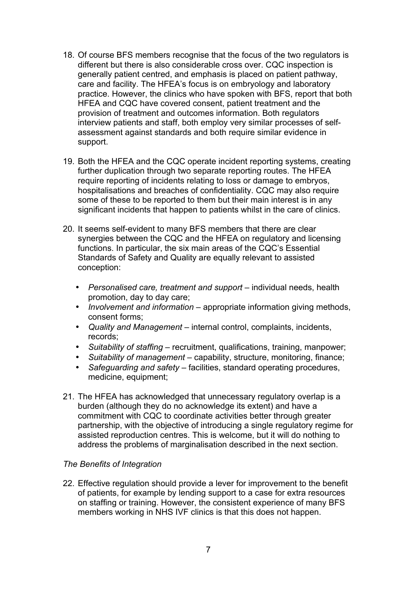- 18. Of course BFS members recognise that the focus of the two regulators is different but there is also considerable cross over. CQC inspection is generally patient centred, and emphasis is placed on patient pathway, care and facility. The HFEA's focus is on embryology and laboratory practice. However, the clinics who have spoken with BFS, report that both HFEA and CQC have covered consent, patient treatment and the provision of treatment and outcomes information. Both regulators interview patients and staff, both employ very similar processes of selfassessment against standards and both require similar evidence in support.
- 19. Both the HFEA and the CQC operate incident reporting systems, creating further duplication through two separate reporting routes. The HFEA require reporting of incidents relating to loss or damage to embryos, hospitalisations and breaches of confidentiality. CQC may also require some of these to be reported to them but their main interest is in any significant incidents that happen to patients whilst in the care of clinics.
- 20. It seems self-evident to many BFS members that there are clear synergies between the CQC and the HFEA on regulatory and licensing functions. In particular, the six main areas of the CQC's Essential Standards of Safety and Quality are equally relevant to assisted conception:
	- *Personalised care, treatment and support* individual needs, health promotion, day to day care;
	- *Involvement and information* appropriate information giving methods, consent forms;
	- *Quality and Management* internal control, complaints, incidents, records;
	- *Suitability of staffing* recruitment, qualifications, training, manpower;
	- *Suitability of management* capability, structure, monitoring, finance;
	- *Safeguarding and safety* facilities, standard operating procedures, medicine, equipment;
- 21. The HFEA has acknowledged that unnecessary regulatory overlap is a burden (although they do no acknowledge its extent) and have a commitment with CQC to coordinate activities better through greater partnership, with the objective of introducing a single regulatory regime for assisted reproduction centres. This is welcome, but it will do nothing to address the problems of marginalisation described in the next section.

#### *The Benefits of Integration*

22. Effective regulation should provide a lever for improvement to the benefit of patients, for example by lending support to a case for extra resources on staffing or training. However, the consistent experience of many BFS members working in NHS IVF clinics is that this does not happen.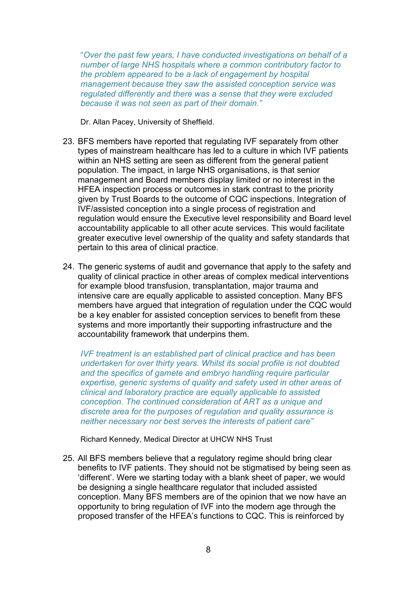"*Over the past few years, I have conducted investigations on behalf of a number of large NHS hospitals where a common contributory factor to the problem appeared to be a lack of engagement by hospital management because they saw the assisted conception service was regulated differently and there was a sense that they were excluded because it was not seen as part of their domain."*

Dr. Allan Pacey, University of Sheffield.

- 23. BFS members have reported that regulating IVF separately from other types of mainstream healthcare has led to a culture in which IVF patients within an NHS setting are seen as different from the general patient population. The impact, in large NHS organisations, is that senior management and Board members display limited or no interest in the HFEA inspection process or outcomes in stark contrast to the priority given by Trust Boards to the outcome of CQC inspections. Integration of IVF/assisted conception into a single process of registration and regulation would ensure the Executive level responsibility and Board level accountability applicable to all other acute services. This would facilitate greater executive level ownership of the quality and safety standards that pertain to this area of clinical practice.
- 24. The generic systems of audit and governance that apply to the safety and quality of clinical practice in other areas of complex medical interventions for example blood transfusion, transplantation, major trauma and intensive care are equally applicable to assisted conception. Many BFS members have argued that integration of regulation under the CQC would be a key enabler for assisted conception services to benefit from these systems and more importantly their supporting infrastructure and the accountability framework that underpins them.

*IVF treatment is an established part of clinical practice and has been undertaken for over thirty years. Whilst its social profile is not doubted and the specifics of gamete and embryo handling require particular expertise, generic systems of quality and safety used in other areas of clinical and laboratory practice are equally applicable to assisted conception. The continued consideration of ART as a unique and discrete area for the purposes of regulation and quality assurance is neither necessary nor best serves the interests of patient care"*

Richard Kennedy, Medical Director at UHCW NHS Trust

25. All BFS members believe that a regulatory regime should bring clear benefits to IVF patients. They should not be stigmatised by being seen as 'different'. Were we starting today with a blank sheet of paper, we would be designing a single healthcare regulator that included assisted conception. Many BFS members are of the opinion that we now have an opportunity to bring regulation of IVF into the modern age through the proposed transfer of the HFEA's functions to CQC. This is reinforced by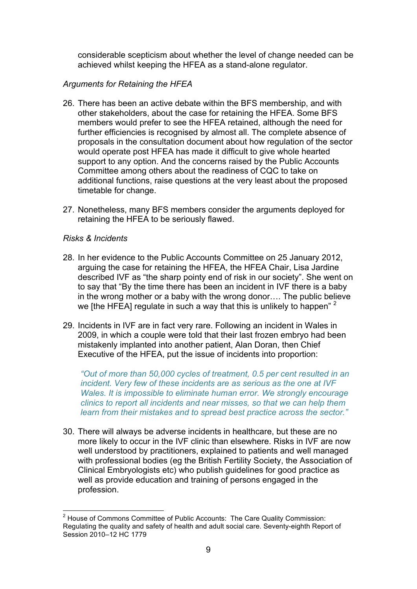considerable scepticism about whether the level of change needed can be achieved whilst keeping the HFEA as a stand-alone regulator.

#### *Arguments for Retaining the HFEA*

- 26. There has been an active debate within the BFS membership, and with other stakeholders, about the case for retaining the HFEA. Some BFS members would prefer to see the HFEA retained, although the need for further efficiencies is recognised by almost all. The complete absence of proposals in the consultation document about how regulation of the sector would operate post HFEA has made it difficult to give whole hearted support to any option. And the concerns raised by the Public Accounts Committee among others about the readiness of CQC to take on additional functions, raise questions at the very least about the proposed timetable for change.
- 27. Nonetheless, many BFS members consider the arguments deployed for retaining the HFEA to be seriously flawed.

#### *Risks & Incidents*

- 28. In her evidence to the Public Accounts Committee on 25 January 2012, arguing the case for retaining the HFEA, the HFEA Chair, Lisa Jardine described IVF as "the sharp pointy end of risk in our society". She went on to say that "By the time there has been an incident in IVF there is a baby in the wrong mother or a baby with the wrong donor…. The public believe we [the HFEA] regulate in such a way that this is unlikely to happen<sup>" 2</sup>
- 29. Incidents in IVF are in fact very rare. Following an incident in Wales in 2009, in which a couple were told that their last frozen embryo had been mistakenly implanted into another patient, Alan Doran, then Chief Executive of the HFEA, put the issue of incidents into proportion:

*"Out of more than 50,000 cycles of treatment, 0.5 per cent resulted in an incident. Very few of these incidents are as serious as the one at IVF Wales. It is impossible to eliminate human error. We strongly encourage clinics to report all incidents and near misses, so that we can help them learn from their mistakes and to spread best practice across the sector."*

30. There will always be adverse incidents in healthcare, but these are no more likely to occur in the IVF clinic than elsewhere. Risks in IVF are now well understood by practitioners, explained to patients and well managed with professional bodies (eg the British Fertility Society, the Association of Clinical Embryologists etc) who publish guidelines for good practice as well as provide education and training of persons engaged in the profession.

<sup>&</sup>lt;sup>2</sup> House of Commons Committee of Public Accounts: The Care Quality Commission: Regulating the quality and safety of health and adult social care. Seventy-eighth Report of Session 2010–12 HC 1779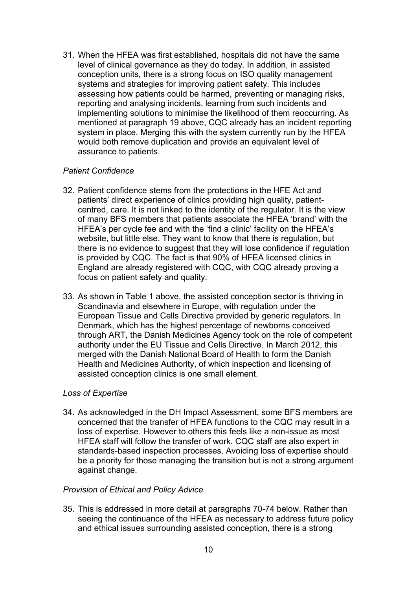31. When the HFEA was first established, hospitals did not have the same level of clinical governance as they do today. In addition, in assisted conception units, there is a strong focus on ISO quality management systems and strategies for improving patient safety. This includes assessing how patients could be harmed, preventing or managing risks, reporting and analysing incidents, learning from such incidents and implementing solutions to minimise the likelihood of them reoccurring. As mentioned at paragraph 19 above, CQC already has an incident reporting system in place. Merging this with the system currently run by the HFEA would both remove duplication and provide an equivalent level of assurance to patients.

#### *Patient Confidence*

- 32. Patient confidence stems from the protections in the HFE Act and patients' direct experience of clinics providing high quality, patientcentred, care. It is not linked to the identity of the regulator. It is the view of many BFS members that patients associate the HFEA 'brand' with the HFEA's per cycle fee and with the 'find a clinic' facility on the HFEA's website, but little else. They want to know that there is regulation, but there is no evidence to suggest that they will lose confidence if regulation is provided by CQC. The fact is that 90% of HFEA licensed clinics in England are already registered with CQC, with CQC already proving a focus on patient safety and quality.
- 33. As shown in Table 1 above, the assisted conception sector is thriving in Scandinavia and elsewhere in Europe, with regulation under the European Tissue and Cells Directive provided by generic regulators. In Denmark, which has the highest percentage of newborns conceived through ART, the Danish Medicines Agency took on the role of competent authority under the EU Tissue and Cells Directive. In March 2012, this merged with the Danish National Board of Health to form the Danish Health and Medicines Authority, of which inspection and licensing of assisted conception clinics is one small element.

#### *Loss of Expertise*

34. As acknowledged in the DH Impact Assessment, some BFS members are concerned that the transfer of HFEA functions to the CQC may result in a loss of expertise. However to others this feels like a non-issue as most HFEA staff will follow the transfer of work. CQC staff are also expert in standards-based inspection processes. Avoiding loss of expertise should be a priority for those managing the transition but is not a strong argument against change.

#### *Provision of Ethical and Policy Advice*

35. This is addressed in more detail at paragraphs 70-74 below. Rather than seeing the continuance of the HFEA as necessary to address future policy and ethical issues surrounding assisted conception, there is a strong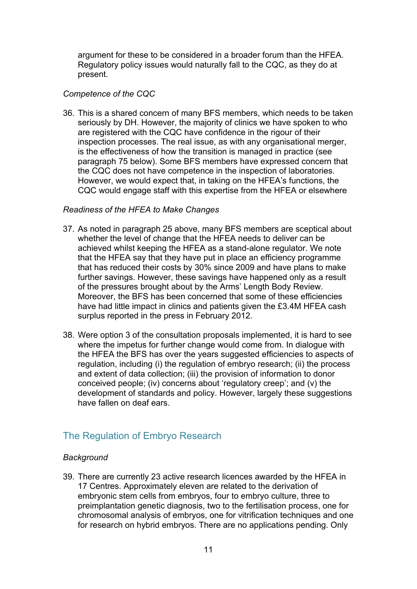argument for these to be considered in a broader forum than the HFEA. Regulatory policy issues would naturally fall to the CQC, as they do at present.

#### *Competence of the CQC*

36. This is a shared concern of many BFS members, which needs to be taken seriously by DH. However, the majority of clinics we have spoken to who are registered with the CQC have confidence in the rigour of their inspection processes. The real issue, as with any organisational merger, is the effectiveness of how the transition is managed in practice (see paragraph 75 below). Some BFS members have expressed concern that the CQC does not have competence in the inspection of laboratories. However, we would expect that, in taking on the HFEA's functions, the CQC would engage staff with this expertise from the HFEA or elsewhere

#### *Readiness of the HFEA to Make Changes*

- 37. As noted in paragraph 25 above, many BFS members are sceptical about whether the level of change that the HFEA needs to deliver can be achieved whilst keeping the HFEA as a stand-alone regulator. We note that the HFEA say that they have put in place an efficiency programme that has reduced their costs by 30% since 2009 and have plans to make further savings. However, these savings have happened only as a result of the pressures brought about by the Arms' Length Body Review. Moreover, the BFS has been concerned that some of these efficiencies have had little impact in clinics and patients given the £3.4M HFEA cash surplus reported in the press in February 2012.
- 38. Were option 3 of the consultation proposals implemented, it is hard to see where the impetus for further change would come from. In dialogue with the HFEA the BFS has over the years suggested efficiencies to aspects of regulation, including (i) the regulation of embryo research; (ii) the process and extent of data collection; (iii) the provision of information to donor conceived people; (iv) concerns about 'regulatory creep'; and (v) the development of standards and policy. However, largely these suggestions have fallen on deaf ears.

## The Regulation of Embryo Research

#### *Background*

39. There are currently 23 active research licences awarded by the HFEA in 17 Centres. Approximately eleven are related to the derivation of embryonic stem cells from embryos, four to embryo culture, three to preimplantation genetic diagnosis, two to the fertilisation process, one for chromosomal analysis of embryos, one for vitrification techniques and one for research on hybrid embryos. There are no applications pending. Only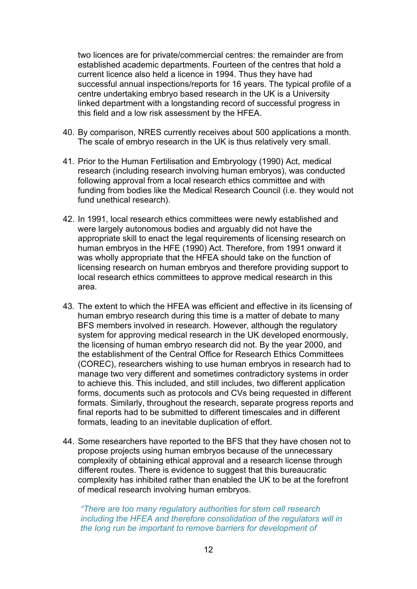two licences are for private/commercial centres: the remainder are from established academic departments. Fourteen of the centres that hold a current licence also held a licence in 1994. Thus they have had successful annual inspections/reports for 16 years. The typical profile of a centre undertaking embryo based research in the UK is a University linked department with a longstanding record of successful progress in this field and a low risk assessment by the HFEA.

- 40. By comparison, NRES currently receives about 500 applications a month. The scale of embryo research in the UK is thus relatively very small.
- 41. Prior to the Human Fertilisation and Embryology (1990) Act, medical research (including research involving human embryos), was conducted following approval from a local research ethics committee and with funding from bodies like the Medical Research Council (i.e. they would not fund unethical research).
- 42. In 1991, local research ethics committees were newly established and were largely autonomous bodies and arguably did not have the appropriate skill to enact the legal requirements of licensing research on human embryos in the HFE (1990) Act. Therefore, from 1991 onward it was wholly appropriate that the HFEA should take on the function of licensing research on human embryos and therefore providing support to local research ethics committees to approve medical research in this area.
- 43. The extent to which the HFEA was efficient and effective in its licensing of human embryo research during this time is a matter of debate to many BFS members involved in research. However, although the regulatory system for approving medical research in the UK developed enormously, the licensing of human embryo research did not. By the year 2000, and the establishment of the Central Office for Research Ethics Committees (COREC), researchers wishing to use human embryos in research had to manage two very different and sometimes contradictory systems in order to achieve this. This included, and still includes, two different application forms, documents such as protocols and CVs being requested in different formats. Similarly, throughout the research, separate progress reports and final reports had to be submitted to different timescales and in different formats, leading to an inevitable duplication of effort.
- 44. Some researchers have reported to the BFS that they have chosen not to propose projects using human embryos because of the unnecessary complexity of obtaining ethical approval and a research license through different routes. There is evidence to suggest that this bureaucratic complexity has inhibited rather than enabled the UK to be at the forefront of medical research involving human embryos.

*"There are too many regulatory authorities for stem cell research including the HFEA and therefore consolidation of the regulators will in the long run be important to remove barriers for development of*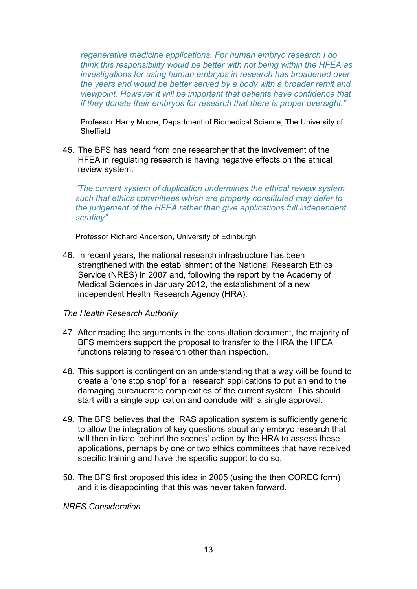*regenerative medicine applications. For human embryo research I do think this responsibility would be better with not being within the HFEA as investigations for using human embryos in research has broadened over the years and would be better served by a body with a broader remit and viewpoint. However it will be important that patients have confidence that if they donate their embryos for research that there is proper oversight."*

Professor Harry Moore, Department of Biomedical Science, The University of **Sheffield** 

45. The BFS has heard from one researcher that the involvement of the HFEA in regulating research is having negative effects on the ethical review system:

*"The current system of duplication undermines the ethical review system such that ethics committees which are properly constituted may defer to the judgement of the HFEA rather than give applications full independent scrutiny"*

Professor Richard Anderson, University of Edinburgh

46. In recent years, the national research infrastructure has been strengthened with the establishment of the National Research Ethics Service (NRES) in 2007 and, following the report by the Academy of Medical Sciences in January 2012, the establishment of a new independent Health Research Agency (HRA).

#### *The Health Research Authority*

- 47. After reading the arguments in the consultation document, the majority of BFS members support the proposal to transfer to the HRA the HFEA functions relating to research other than inspection.
- 48. This support is contingent on an understanding that a way will be found to create a 'one stop shop' for all research applications to put an end to the damaging bureaucratic complexities of the current system. This should start with a single application and conclude with a single approval.
- 49. The BFS believes that the IRAS application system is sufficiently generic to allow the integration of key questions about any embryo research that will then initiate 'behind the scenes' action by the HRA to assess these applications, perhaps by one or two ethics committees that have received specific training and have the specific support to do so.
- 50. The BFS first proposed this idea in 2005 (using the then COREC form) and it is disappointing that this was never taken forward.

*NRES Consideration*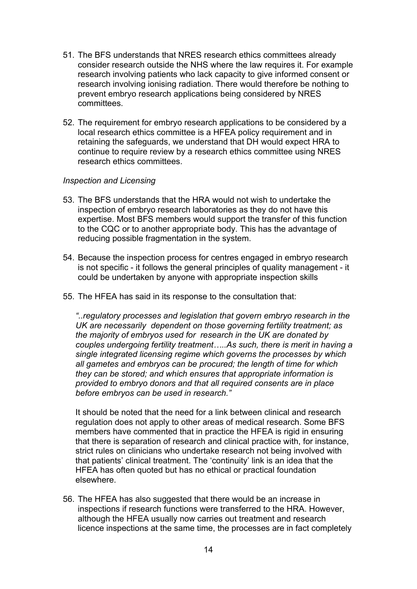- 51. The BFS understands that NRES research ethics committees already consider research outside the NHS where the law requires it. For example research involving patients who lack capacity to give informed consent or research involving ionising radiation. There would therefore be nothing to prevent embryo research applications being considered by NRES committees.
- 52. The requirement for embryo research applications to be considered by a local research ethics committee is a HFEA policy requirement and in retaining the safeguards, we understand that DH would expect HRA to continue to require review by a research ethics committee using NRES research ethics committees.

#### *Inspection and Licensing*

- 53. The BFS understands that the HRA would not wish to undertake the inspection of embryo research laboratories as they do not have this expertise. Most BFS members would support the transfer of this function to the CQC or to another appropriate body. This has the advantage of reducing possible fragmentation in the system.
- 54. Because the inspection process for centres engaged in embryo research is not specific - it follows the general principles of quality management - it could be undertaken by anyone with appropriate inspection skills
- 55. The HFEA has said in its response to the consultation that:

*"..regulatory processes and legislation that govern embryo research in the UK are necessarily dependent on those governing fertility treatment; as the majority of embryos used for research in the UK are donated by couples undergoing fertility treatment…..As such, there is merit in having a single integrated licensing regime which governs the processes by which all gametes and embryos can be procured; the length of time for which they can be stored; and which ensures that appropriate information is provided to embryo donors and that all required consents are in place before embryos can be used in research."*

It should be noted that the need for a link between clinical and research regulation does not apply to other areas of medical research. Some BFS members have commented that in practice the HFEA is rigid in ensuring that there is separation of research and clinical practice with, for instance, strict rules on clinicians who undertake research not being involved with that patients' clinical treatment. The 'continuity' link is an idea that the HFEA has often quoted but has no ethical or practical foundation elsewhere.

56. The HFEA has also suggested that there would be an increase in inspections if research functions were transferred to the HRA. However, although the HFEA usually now carries out treatment and research licence inspections at the same time, the processes are in fact completely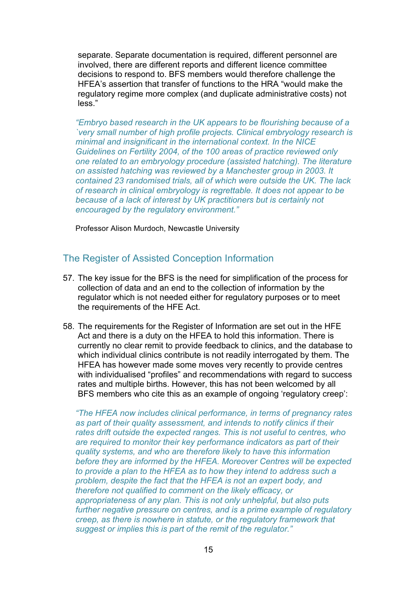separate. Separate documentation is required, different personnel are involved, there are different reports and different licence committee decisions to respond to. BFS members would therefore challenge the HFEA's assertion that transfer of functions to the HRA "would make the regulatory regime more complex (and duplicate administrative costs) not less."

*"Embryo based research in the UK appears to be flourishing because of a `very small number of high profile projects. Clinical embryology research is minimal and insignificant in the international context. In the NICE Guidelines on Fertility 2004, of the 100 areas of practice reviewed only one related to an embryology procedure (assisted hatching). The literature on assisted hatching was reviewed by a Manchester group in 2003. It contained 23 randomised trials, all of which were outside the UK. The lack of research in clinical embryology is regrettable. It does not appear to be because of a lack of interest by UK practitioners but is certainly not encouraged by the regulatory environment."*

Professor Alison Murdoch, Newcastle University

#### The Register of Assisted Conception Information

- 57. The key issue for the BFS is the need for simplification of the process for collection of data and an end to the collection of information by the regulator which is not needed either for regulatory purposes or to meet the requirements of the HFE Act.
- 58. The requirements for the Register of Information are set out in the HFE Act and there is a duty on the HFEA to hold this information. There is currently no clear remit to provide feedback to clinics, and the database to which individual clinics contribute is not readily interrogated by them. The HFEA has however made some moves very recently to provide centres with individualised "profiles" and recommendations with regard to success rates and multiple births. However, this has not been welcomed by all BFS members who cite this as an example of ongoing 'regulatory creep':

*"The HFEA now includes clinical performance, in terms of pregnancy rates as part of their quality assessment, and intends to notify clinics if their rates drift outside the expected ranges. This is not useful to centres, who are required to monitor their key performance indicators as part of their quality systems, and who are therefore likely to have this information before they are informed by the HFEA. Moreover Centres will be expected to provide a plan to the HFEA as to how they intend to address such a problem, despite the fact that the HFEA is not an expert body, and therefore not qualified to comment on the likely efficacy, or appropriateness of any plan. This is not only unhelpful, but also puts further negative pressure on centres, and is a prime example of regulatory creep, as there is nowhere in statute, or the regulatory framework that suggest or implies this is part of the remit of the regulator."*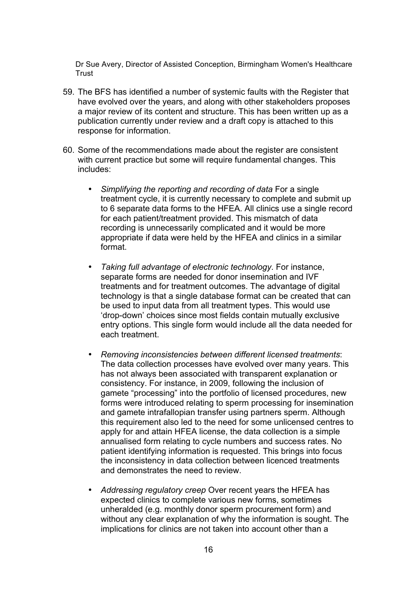Dr Sue Avery, Director of Assisted Conception, Birmingham Women's Healthcare **Trust** 

- 59. The BFS has identified a number of systemic faults with the Register that have evolved over the years, and along with other stakeholders proposes a major review of its content and structure. This has been written up as a publication currently under review and a draft copy is attached to this response for information.
- 60. Some of the recommendations made about the register are consistent with current practice but some will require fundamental changes. This includes:
	- *Simplifying the reporting and recording of data* For a single treatment cycle, it is currently necessary to complete and submit up to 6 separate data forms to the HFEA. All clinics use a single record for each patient/treatment provided. This mismatch of data recording is unnecessarily complicated and it would be more appropriate if data were held by the HFEA and clinics in a similar format.
	- *Taking full advantage of electronic technology*. For instance, separate forms are needed for donor insemination and IVF treatments and for treatment outcomes. The advantage of digital technology is that a single database format can be created that can be used to input data from all treatment types. This would use 'drop-down' choices since most fields contain mutually exclusive entry options. This single form would include all the data needed for each treatment.
	- *Removing inconsistencies between different licensed treatments*: The data collection processes have evolved over many years. This has not always been associated with transparent explanation or consistency. For instance, in 2009, following the inclusion of gamete "processing" into the portfolio of licensed procedures, new forms were introduced relating to sperm processing for insemination and gamete intrafallopian transfer using partners sperm. Although this requirement also led to the need for some unlicensed centres to apply for and attain HFEA license, the data collection is a simple annualised form relating to cycle numbers and success rates. No patient identifying information is requested. This brings into focus the inconsistency in data collection between licenced treatments and demonstrates the need to review.
	- *Addressing regulatory creep* Over recent years the HFEA has expected clinics to complete various new forms, sometimes unheralded (e.g. monthly donor sperm procurement form) and without any clear explanation of why the information is sought. The implications for clinics are not taken into account other than a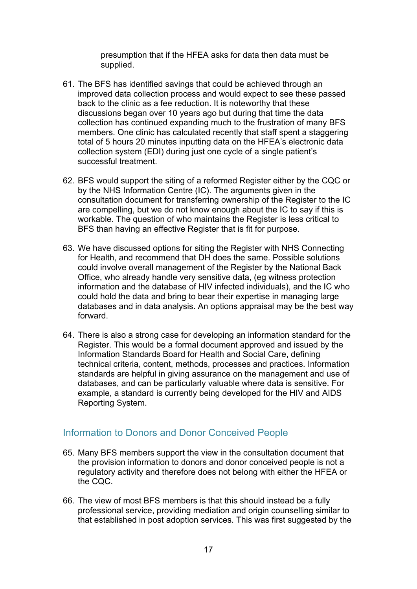presumption that if the HFEA asks for data then data must be supplied.

- 61. The BFS has identified savings that could be achieved through an improved data collection process and would expect to see these passed back to the clinic as a fee reduction. It is noteworthy that these discussions began over 10 years ago but during that time the data collection has continued expanding much to the frustration of many BFS members. One clinic has calculated recently that staff spent a staggering total of 5 hours 20 minutes inputting data on the HFEA's electronic data collection system (EDI) during just one cycle of a single patient's successful treatment.
- 62. BFS would support the siting of a reformed Register either by the CQC or by the NHS Information Centre (IC). The arguments given in the consultation document for transferring ownership of the Register to the IC are compelling, but we do not know enough about the IC to say if this is workable. The question of who maintains the Register is less critical to BFS than having an effective Register that is fit for purpose.
- 63. We have discussed options for siting the Register with NHS Connecting for Health, and recommend that DH does the same. Possible solutions could involve overall management of the Register by the National Back Office, who already handle very sensitive data, (eg witness protection information and the database of HIV infected individuals), and the IC who could hold the data and bring to bear their expertise in managing large databases and in data analysis. An options appraisal may be the best way forward.
- 64. There is also a strong case for developing an information standard for the Register. This would be a formal document approved and issued by the Information Standards Board for Health and Social Care, defining technical criteria, content, methods, processes and practices. Information standards are helpful in giving assurance on the management and use of databases, and can be particularly valuable where data is sensitive. For example, a standard is currently being developed for the HIV and AIDS Reporting System.

### Information to Donors and Donor Conceived People

- 65. Many BFS members support the view in the consultation document that the provision information to donors and donor conceived people is not a regulatory activity and therefore does not belong with either the HFEA or the CQC.
- 66. The view of most BFS members is that this should instead be a fully professional service, providing mediation and origin counselling similar to that established in post adoption services. This was first suggested by the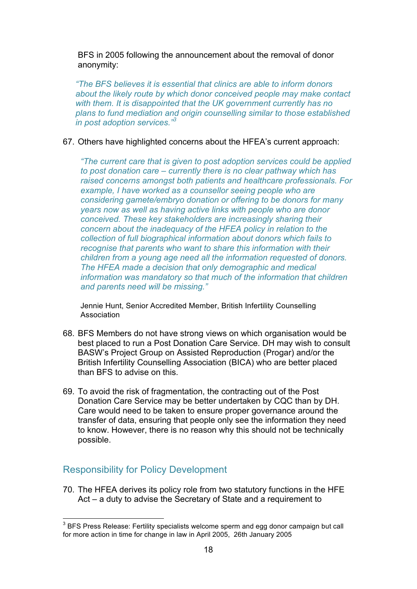BFS in 2005 following the announcement about the removal of donor anonymity:

*"The BFS believes it is essential that clinics are able to inform donors about the likely route by which donor conceived people may make contact with them. It is disappointed that the UK government currently has no plans to fund mediation and origin counselling similar to those established in post adoption services."<sup>3</sup>*

#### 67. Others have highlighted concerns about the HFEA's current approach:

*"The current care that is given to post adoption services could be applied to post donation care – currently there is no clear pathway which has raised concerns amongst both patients and healthcare professionals. For example, I have worked as a counsellor seeing people who are considering gamete/embryo donation or offering to be donors for many years now as well as having active links with people who are donor conceived. These key stakeholders are increasingly sharing their concern about the inadequacy of the HFEA policy in relation to the collection of full biographical information about donors which fails to recognise that parents who want to share this information with their children from a young age need all the information requested of donors. The HFEA made a decision that only demographic and medical information was mandatory so that much of the information that children and parents need will be missing."*

Jennie Hunt, Senior Accredited Member, British Infertility Counselling Association

- 68. BFS Members do not have strong views on which organisation would be best placed to run a Post Donation Care Service. DH may wish to consult BASW's Project Group on Assisted Reproduction (Progar) and/or the British Infertility Counselling Association (BICA) who are better placed than BFS to advise on this.
- 69. To avoid the risk of fragmentation, the contracting out of the Post Donation Care Service may be better undertaken by CQC than by DH. Care would need to be taken to ensure proper governance around the transfer of data, ensuring that people only see the information they need to know. However, there is no reason why this should not be technically possible.

## Responsibility for Policy Development

70. The HFEA derives its policy role from two statutory functions in the HFE Act – a duty to advise the Secretary of State and a requirement to

 $3$  BFS Press Release: Fertility specialists welcome sperm and egg donor campaign but call for more action in time for change in law in April 2005, 26th January 2005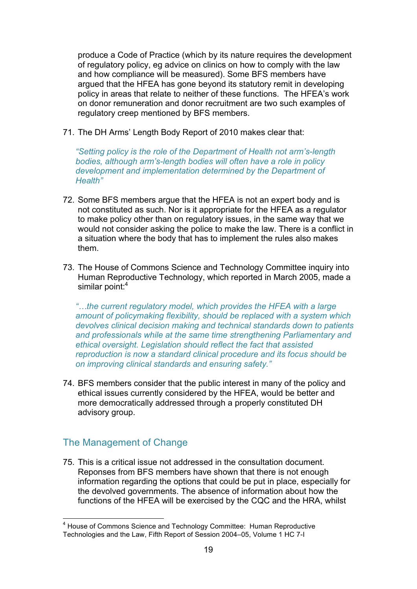produce a Code of Practice (which by its nature requires the development of regulatory policy, eg advice on clinics on how to comply with the law and how compliance will be measured). Some BFS members have argued that the HFEA has gone beyond its statutory remit in developing policy in areas that relate to neither of these functions. The HFEA's work on donor remuneration and donor recruitment are two such examples of regulatory creep mentioned by BFS members.

71. The DH Arms' Length Body Report of 2010 makes clear that:

*"Setting policy is the role of the Department of Health not arm's-length bodies, although arm's-length bodies will often have a role in policy development and implementation determined by the Department of Health"*

- 72. Some BFS members argue that the HFEA is not an expert body and is not constituted as such. Nor is it appropriate for the HFEA as a regulator to make policy other than on regulatory issues, in the same way that we would not consider asking the police to make the law. There is a conflict in a situation where the body that has to implement the rules also makes them.
- 73. The House of Commons Science and Technology Committee inquiry into Human Reproductive Technology, which reported in March 2005, made a similar point:<sup>4</sup>

*"…the current regulatory model, which provides the HFEA with a large amount of policymaking flexibility, should be replaced with a system which devolves clinical decision making and technical standards down to patients and professionals while at the same time strengthening Parliamentary and ethical oversight. Legislation should reflect the fact that assisted reproduction is now a standard clinical procedure and its focus should be on improving clinical standards and ensuring safety."*

74. BFS members consider that the public interest in many of the policy and ethical issues currently considered by the HFEA, would be better and more democratically addressed through a properly constituted DH advisory group.

## The Management of Change

75. This is a critical issue not addressed in the consultation document. Reponses from BFS members have shown that there is not enough information regarding the options that could be put in place, especially for the devolved governments. The absence of information about how the functions of the HFEA will be exercised by the CQC and the HRA, whilst

<sup>&</sup>lt;sup>4</sup> House of Commons Science and Technology Committee: Human Reproductive Technologies and the Law, Fifth Report of Session 2004–05, Volume 1 HC 7-I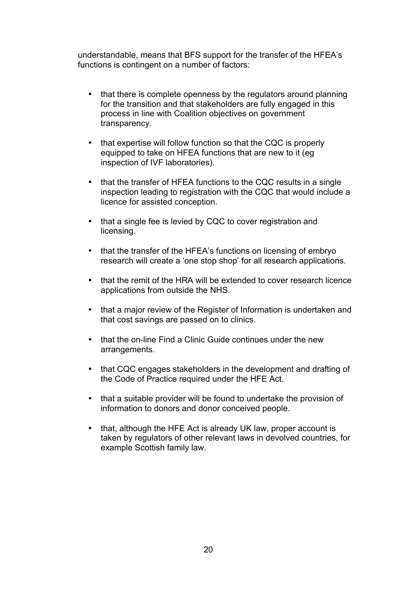understandable, means that BFS support for the transfer of the HFEA's functions is contingent on a number of factors:

- that there is complete openness by the regulators around planning for the transition and that stakeholders are fully engaged in this process in line with Coalition objectives on government transparency.
- that expertise will follow function so that the CQC is properly equipped to take on HFEA functions that are new to it (eg inspection of IVF laboratories).
- that the transfer of HFEA functions to the CQC results in a single inspection leading to registration with the CQC that would include a licence for assisted conception.
- that a single fee is levied by CQC to cover registration and licensing.
- that the transfer of the HFEA's functions on licensing of embryo research will create a 'one stop shop' for all research applications.
- that the remit of the HRA will be extended to cover research licence applications from outside the NHS.
- that a major review of the Register of Information is undertaken and that cost savings are passed on to clinics.
- that the on-line Find a Clinic Guide continues under the new arrangements.
- that CQC engages stakeholders in the development and drafting of the Code of Practice required under the HFE Act.
- that a suitable provider will be found to undertake the provision of information to donors and donor conceived people.
- that, although the HFE Act is already UK law, proper account is taken by regulators of other relevant laws in devolved countries, for example Scottish family law.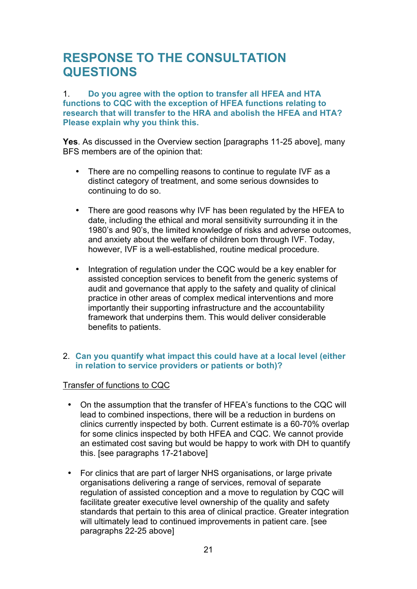## **RESPONSE TO THE CONSULTATION QUESTIONS**

#### 1. **Do you agree with the option to transfer all HFEA and HTA functions to CQC with the exception of HFEA functions relating to research that will transfer to the HRA and abolish the HFEA and HTA? Please explain why you think this.**

**Yes**. As discussed in the Overview section [paragraphs 11-25 above], many BFS members are of the opinion that:

- There are no compelling reasons to continue to regulate IVF as a distinct category of treatment, and some serious downsides to continuing to do so.
- There are good reasons why IVF has been regulated by the HFEA to date, including the ethical and moral sensitivity surrounding it in the 1980's and 90's, the limited knowledge of risks and adverse outcomes, and anxiety about the welfare of children born through IVF. Today, however, IVF is a well-established, routine medical procedure.
- Integration of regulation under the CQC would be a key enabler for assisted conception services to benefit from the generic systems of audit and governance that apply to the safety and quality of clinical practice in other areas of complex medical interventions and more importantly their supporting infrastructure and the accountability framework that underpins them. This would deliver considerable benefits to patients.

#### 2. **Can you quantify what impact this could have at a local level (either in relation to service providers or patients or both)?**

#### Transfer of functions to CQC

- On the assumption that the transfer of HFEA's functions to the CQC will lead to combined inspections, there will be a reduction in burdens on clinics currently inspected by both. Current estimate is a 60-70% overlap for some clinics inspected by both HFEA and CQC. We cannot provide an estimated cost saving but would be happy to work with DH to quantify this. [see paragraphs 17-21above]
- For clinics that are part of larger NHS organisations, or large private organisations delivering a range of services, removal of separate regulation of assisted conception and a move to regulation by CQC will facilitate greater executive level ownership of the quality and safety standards that pertain to this area of clinical practice. Greater integration will ultimately lead to continued improvements in patient care. [see paragraphs 22-25 above]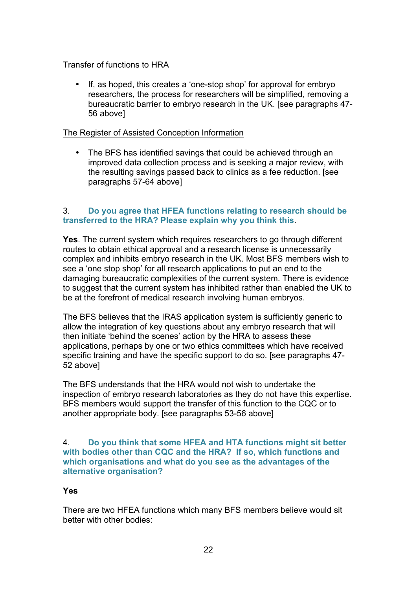#### Transfer of functions to HRA

• If, as hoped, this creates a 'one-stop shop' for approval for embryo researchers, the process for researchers will be simplified, removing a bureaucratic barrier to embryo research in the UK. [see paragraphs 47- 56 above]

#### The Register of Assisted Conception Information

• The BFS has identified savings that could be achieved through an improved data collection process and is seeking a major review, with the resulting savings passed back to clinics as a fee reduction. [see paragraphs 57-64 above]

#### 3. **Do you agree that HFEA functions relating to research should be transferred to the HRA? Please explain why you think this**.

**Yes**. The current system which requires researchers to go through different routes to obtain ethical approval and a research license is unnecessarily complex and inhibits embryo research in the UK. Most BFS members wish to see a 'one stop shop' for all research applications to put an end to the damaging bureaucratic complexities of the current system. There is evidence to suggest that the current system has inhibited rather than enabled the UK to be at the forefront of medical research involving human embryos.

The BFS believes that the IRAS application system is sufficiently generic to allow the integration of key questions about any embryo research that will then initiate 'behind the scenes' action by the HRA to assess these applications, perhaps by one or two ethics committees which have received specific training and have the specific support to do so. [see paragraphs 47- 52 above]

The BFS understands that the HRA would not wish to undertake the inspection of embryo research laboratories as they do not have this expertise. BFS members would support the transfer of this function to the CQC or to another appropriate body. [see paragraphs 53-56 above]

#### 4. **Do you think that some HFEA and HTA functions might sit better with bodies other than CQC and the HRA? If so, which functions and which organisations and what do you see as the advantages of the alternative organisation?**

#### **Yes**

There are two HFEA functions which many BFS members believe would sit better with other bodies: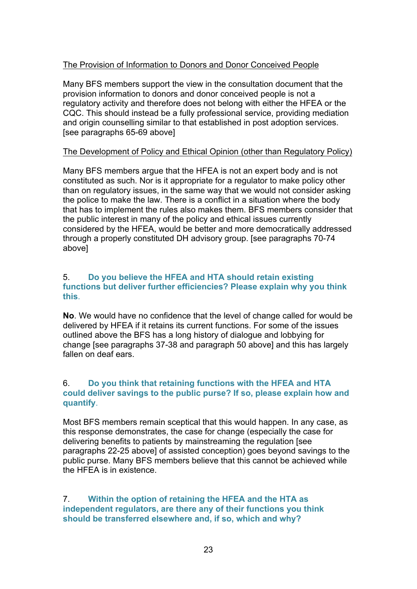#### The Provision of Information to Donors and Donor Conceived People

Many BFS members support the view in the consultation document that the provision information to donors and donor conceived people is not a regulatory activity and therefore does not belong with either the HFEA or the CQC. This should instead be a fully professional service, providing mediation and origin counselling similar to that established in post adoption services. [see paragraphs 65-69 above]

#### The Development of Policy and Ethical Opinion (other than Regulatory Policy)

Many BFS members argue that the HFEA is not an expert body and is not constituted as such. Nor is it appropriate for a regulator to make policy other than on regulatory issues, in the same way that we would not consider asking the police to make the law. There is a conflict in a situation where the body that has to implement the rules also makes them. BFS members consider that the public interest in many of the policy and ethical issues currently considered by the HFEA, would be better and more democratically addressed through a properly constituted DH advisory group. [see paragraphs 70-74 above]

#### 5. **Do you believe the HFEA and HTA should retain existing functions but deliver further efficiencies? Please explain why you think this**.

**No**. We would have no confidence that the level of change called for would be delivered by HFEA if it retains its current functions. For some of the issues outlined above the BFS has a long history of dialogue and lobbying for change [see paragraphs 37-38 and paragraph 50 above] and this has largely fallen on deaf ears.

#### 6. **Do you think that retaining functions with the HFEA and HTA could deliver savings to the public purse? If so, please explain how and quantify**.

Most BFS members remain sceptical that this would happen. In any case, as this response demonstrates, the case for change (especially the case for delivering benefits to patients by mainstreaming the regulation [see paragraphs 22-25 above] of assisted conception) goes beyond savings to the public purse. Many BFS members believe that this cannot be achieved while the HFEA is in existence.

7. **Within the option of retaining the HFEA and the HTA as independent regulators, are there any of their functions you think should be transferred elsewhere and, if so, which and why?**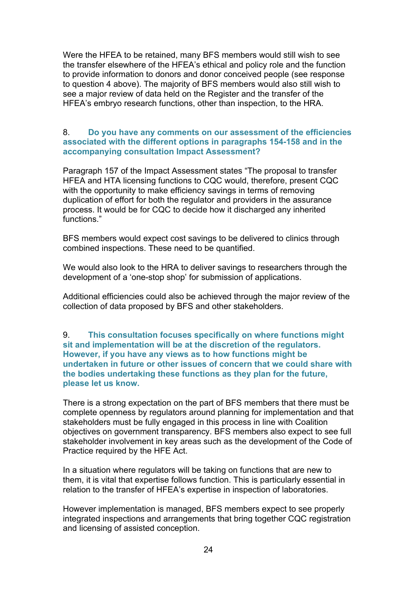Were the HFEA to be retained, many BFS members would still wish to see the transfer elsewhere of the HFEA's ethical and policy role and the function to provide information to donors and donor conceived people (see response to question 4 above). The majority of BFS members would also still wish to see a major review of data held on the Register and the transfer of the HFEA's embryo research functions, other than inspection, to the HRA.

#### 8. **Do you have any comments on our assessment of the efficiencies associated with the different options in paragraphs 154-158 and in the accompanying consultation Impact Assessment?**

Paragraph 157 of the Impact Assessment states "The proposal to transfer HFEA and HTA licensing functions to CQC would, therefore, present CQC with the opportunity to make efficiency savings in terms of removing duplication of effort for both the regulator and providers in the assurance process. It would be for CQC to decide how it discharged any inherited functions."

BFS members would expect cost savings to be delivered to clinics through combined inspections. These need to be quantified.

We would also look to the HRA to deliver savings to researchers through the development of a 'one-stop shop' for submission of applications.

Additional efficiencies could also be achieved through the major review of the collection of data proposed by BFS and other stakeholders.

#### 9. **This consultation focuses specifically on where functions might sit and implementation will be at the discretion of the regulators. However, if you have any views as to how functions might be undertaken in future or other issues of concern that we could share with the bodies undertaking these functions as they plan for the future, please let us know.**

There is a strong expectation on the part of BFS members that there must be complete openness by regulators around planning for implementation and that stakeholders must be fully engaged in this process in line with Coalition objectives on government transparency. BFS members also expect to see full stakeholder involvement in key areas such as the development of the Code of Practice required by the HFE Act.

In a situation where regulators will be taking on functions that are new to them, it is vital that expertise follows function. This is particularly essential in relation to the transfer of HFEA's expertise in inspection of laboratories.

However implementation is managed, BFS members expect to see properly integrated inspections and arrangements that bring together CQC registration and licensing of assisted conception.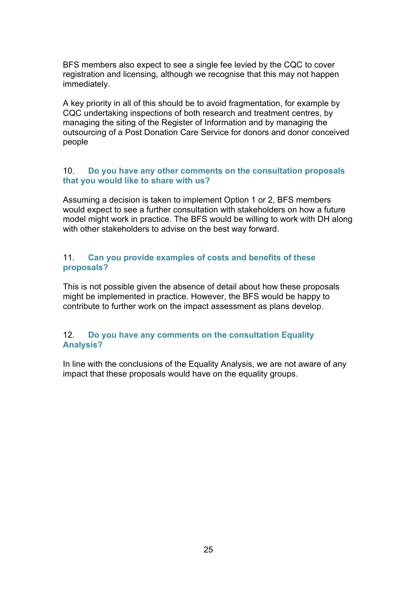BFS members also expect to see a single fee levied by the CQC to cover registration and licensing, although we recognise that this may not happen immediately.

A key priority in all of this should be to avoid fragmentation, for example by CQC undertaking inspections of both research and treatment centres, by managing the siting of the Register of Information and by managing the outsourcing of a Post Donation Care Service for donors and donor conceived people

#### 10. **Do you have any other comments on the consultation proposals that you would like to share with us?**

Assuming a decision is taken to implement Option 1 or 2, BFS members would expect to see a further consultation with stakeholders on how a future model might work in practice. The BFS would be willing to work with DH along with other stakeholders to advise on the best way forward.

#### 11. **Can you provide examples of costs and benefits of these proposals?**

This is not possible given the absence of detail about how these proposals might be implemented in practice. However, the BFS would be happy to contribute to further work on the impact assessment as plans develop.

#### 12. **Do you have any comments on the consultation Equality Analysis?**

In line with the conclusions of the Equality Analysis, we are not aware of any impact that these proposals would have on the equality groups.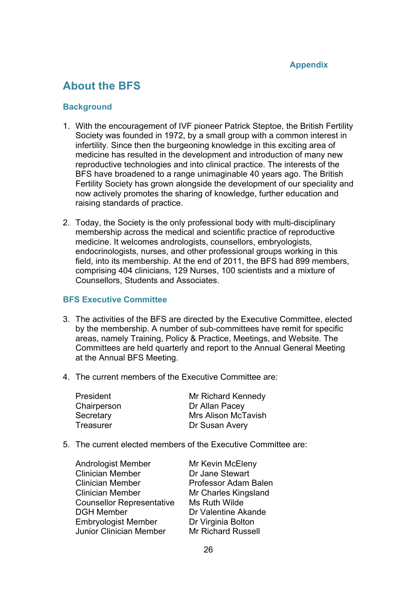## **About the BFS**

#### **Background**

- 1. With the encouragement of IVF pioneer Patrick Steptoe, the British Fertility Society was founded in 1972, by a small group with a common interest in infertility. Since then the burgeoning knowledge in this exciting area of medicine has resulted in the development and introduction of many new reproductive technologies and into clinical practice. The interests of the BFS have broadened to a range unimaginable 40 years ago. The British Fertility Society has grown alongside the development of our speciality and now actively promotes the sharing of knowledge, further education and raising standards of practice.
- 2. Today, the Society is the only professional body with multi-disciplinary membership across the medical and scientific practice of reproductive medicine. It welcomes andrologists, counsellors, embryologists, endocrinologists, nurses, and other professional groups working in this field, into its membership. At the end of 2011, the BFS had 899 members, comprising 404 clinicians, 129 Nurses, 100 scientists and a mixture of Counsellors, Students and Associates.

#### **BFS Executive Committee**

- 3. The activities of the BFS are directed by the Executive Committee, elected by the membership. A number of sub-committees have remit for specific areas, namely Training, Policy & Practice, Meetings, and Website. The Committees are held quarterly and report to the Annual General Meeting at the Annual BFS Meeting.
- 4. The current members of the Executive Committee are:

| <b>President</b> | Mr Richard Kennedy         |
|------------------|----------------------------|
| Chairperson      | Dr Allan Pacey             |
| Secretary        | <b>Mrs Alison McTavish</b> |
| Treasurer        | Dr Susan Avery             |

5. The current elected members of the Executive Committee are:

| <b>Andrologist Member</b>                       | <b>Mr Kevin McEleny</b> |
|-------------------------------------------------|-------------------------|
| <b>Clinician Member</b>                         | Dr Jane Stewart         |
| <b>Clinician Member</b>                         | Professor Adam Balen    |
| <b>Clinician Member</b><br>Mr Charles Kingsland |                         |
| <b>Counsellor Representative</b>                | Ms Ruth Wilde           |
| <b>DGH Member</b>                               | Dr Valentine Akande     |
| <b>Embryologist Member</b>                      | Dr Virginia Bolton      |
| Junior Clinician Member                         | Mr Richard Russell      |